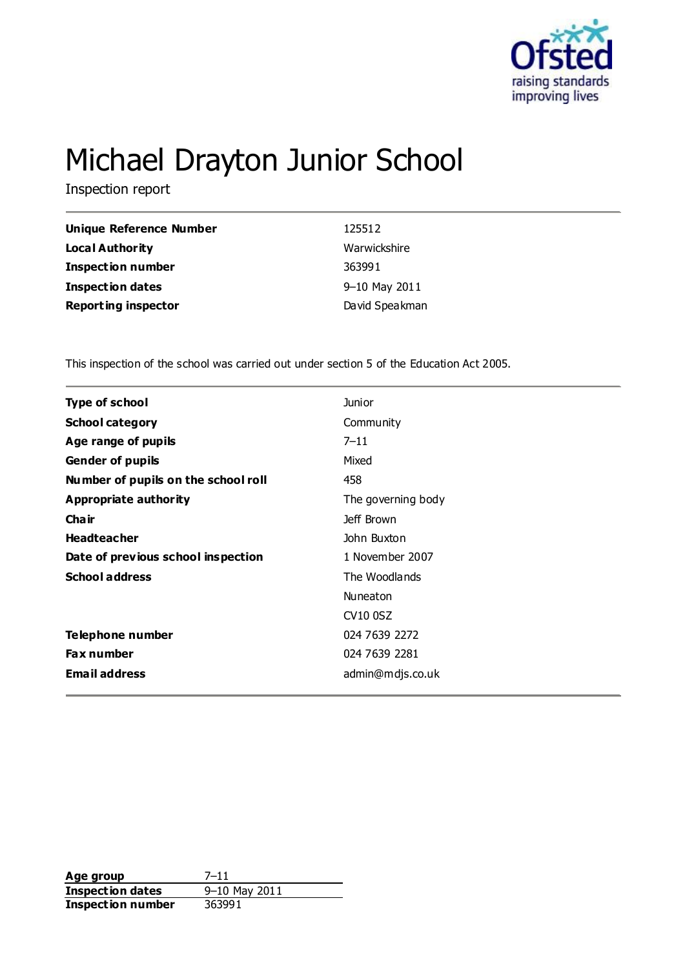

# Michael Drayton Junior School

Inspection report

| <b>Unique Reference Number</b> | 125512         |
|--------------------------------|----------------|
| <b>Local Authority</b>         | Warwickshire   |
| <b>Inspection number</b>       | 363991         |
| <b>Inspection dates</b>        | 9-10 May 2011  |
| <b>Reporting inspector</b>     | David Speakman |

This inspection of the school was carried out under section 5 of the Education Act 2005.

| <b>Type of school</b>               | Junior             |  |
|-------------------------------------|--------------------|--|
| <b>School category</b>              | Community          |  |
| Age range of pupils                 | $7 - 11$           |  |
| <b>Gender of pupils</b>             | Mixed              |  |
| Number of pupils on the school roll | 458                |  |
| <b>Appropriate authority</b>        | The governing body |  |
| Cha ir                              | Jeff Brown         |  |
| <b>Headteacher</b>                  | John Buxton        |  |
| Date of previous school inspection  | 1 November 2007    |  |
| <b>School address</b>               | The Woodlands      |  |
|                                     | Nuneaton           |  |
|                                     | CV10 0SZ           |  |
| Telephone number                    | 024 7639 2272      |  |
| <b>Fax number</b>                   | 024 7639 2281      |  |
| <b>Email address</b>                | admin@mdjs.co.uk   |  |
|                                     |                    |  |

**Age group** 7–11<br> **Inspection dates** 9–10 May 2011 **Inspection dates Inspection number** 363991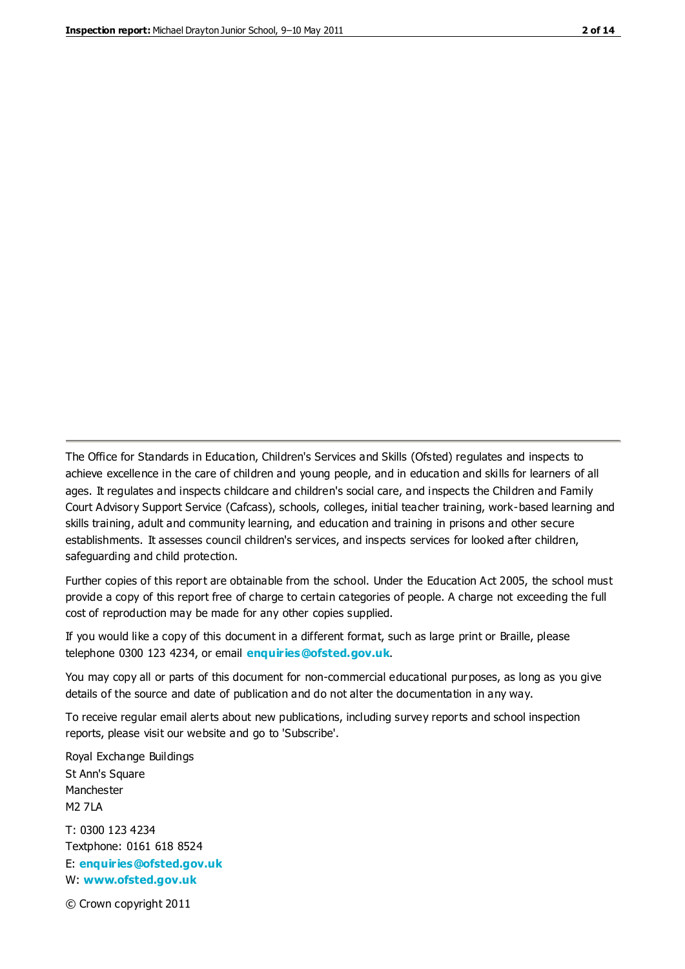The Office for Standards in Education, Children's Services and Skills (Ofsted) regulates and inspects to achieve excellence in the care of children and young people, and in education and skills for learners of all ages. It regulates and inspects childcare and children's social care, and inspects the Children and Family Court Advisory Support Service (Cafcass), schools, colleges, initial teacher training, work-based learning and skills training, adult and community learning, and education and training in prisons and other secure establishments. It assesses council children's services, and inspects services for looked after children, safeguarding and child protection.

Further copies of this report are obtainable from the school. Under the Education Act 2005, the school must provide a copy of this report free of charge to certain categories of people. A charge not exceeding the full cost of reproduction may be made for any other copies supplied.

If you would like a copy of this document in a different format, such as large print or Braille, please telephone 0300 123 4234, or email **[enquiries@ofsted.gov.uk](mailto:enquiries@ofsted.gov.uk)**.

You may copy all or parts of this document for non-commercial educational purposes, as long as you give details of the source and date of publication and do not alter the documentation in any way.

To receive regular email alerts about new publications, including survey reports and school inspection reports, please visit our website and go to 'Subscribe'.

Royal Exchange Buildings St Ann's Square Manchester M2 7LA T: 0300 123 4234 Textphone: 0161 618 8524 E: **[enquiries@ofsted.gov.uk](mailto:enquiries@ofsted.gov.uk)**

W: **[www.ofsted.gov.uk](http://www.ofsted.gov.uk/)**

© Crown copyright 2011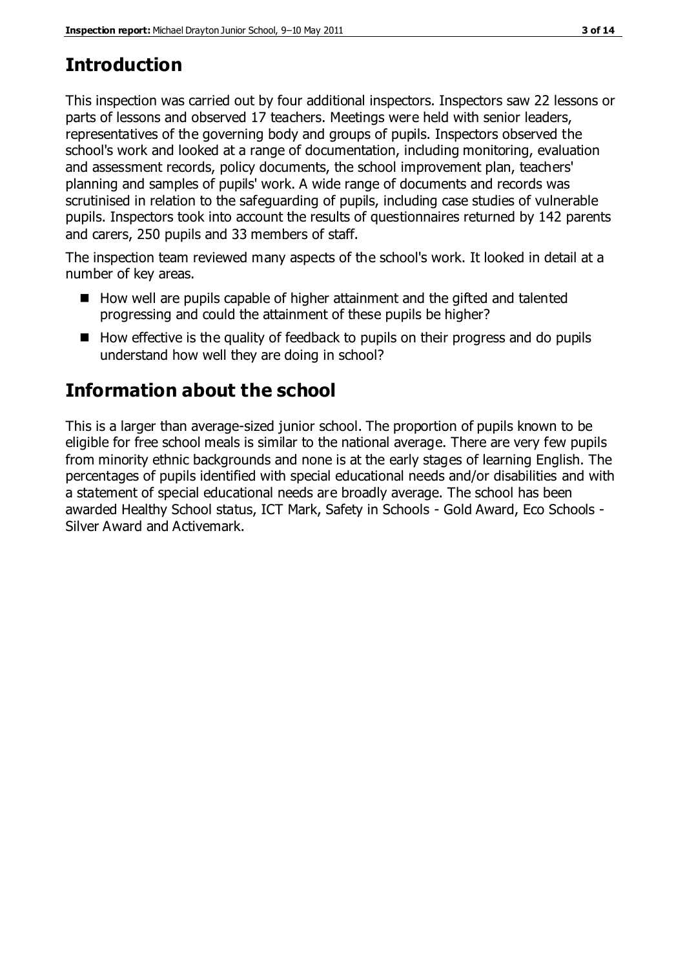# **Introduction**

This inspection was carried out by four additional inspectors. Inspectors saw 22 lessons or parts of lessons and observed 17 teachers. Meetings were held with senior leaders, representatives of the governing body and groups of pupils. Inspectors observed the school's work and looked at a range of documentation, including monitoring, evaluation and assessment records, policy documents, the school improvement plan, teachers' planning and samples of pupils' work. A wide range of documents and records was scrutinised in relation to the safeguarding of pupils, including case studies of vulnerable pupils. Inspectors took into account the results of questionnaires returned by 142 parents and carers, 250 pupils and 33 members of staff.

The inspection team reviewed many aspects of the school's work. It looked in detail at a number of key areas.

- How well are pupils capable of higher attainment and the gifted and talented progressing and could the attainment of these pupils be higher?
- $\blacksquare$  How effective is the quality of feedback to pupils on their progress and do pupils understand how well they are doing in school?

# **Information about the school**

This is a larger than average-sized junior school. The proportion of pupils known to be eligible for free school meals is similar to the national average. There are very few pupils from minority ethnic backgrounds and none is at the early stages of learning English. The percentages of pupils identified with special educational needs and/or disabilities and with a statement of special educational needs are broadly average. The school has been awarded Healthy School status, ICT Mark, Safety in Schools - Gold Award, Eco Schools - Silver Award and Activemark.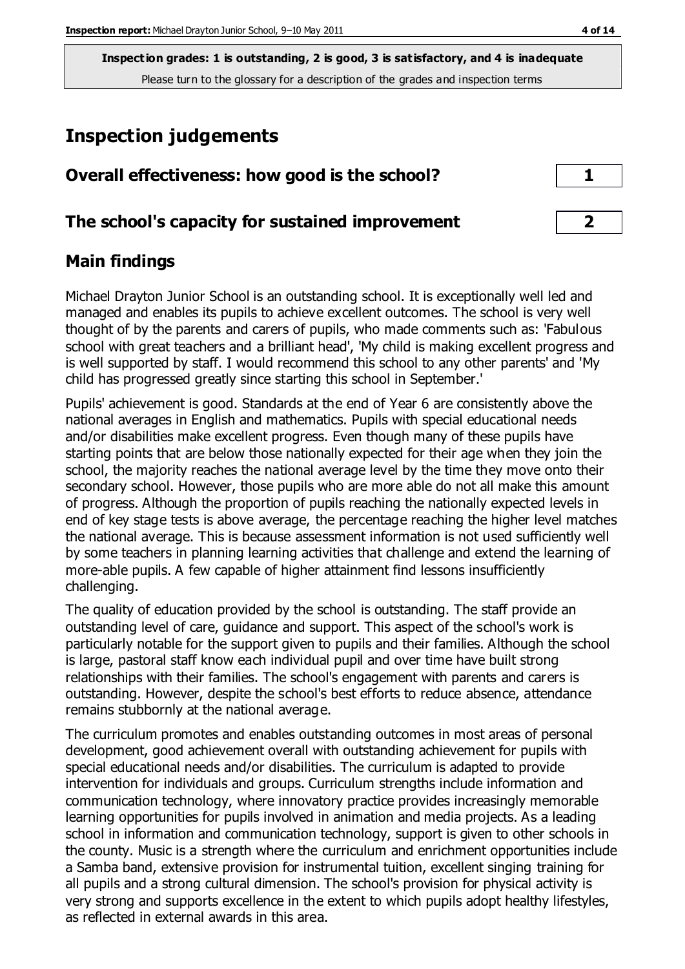# **Inspection judgements**

| Overall effectiveness: how good is the school?  |  |
|-------------------------------------------------|--|
| The school's capacity for sustained improvement |  |

# **Main findings**

Michael Drayton Junior School is an outstanding school. It is exceptionally well led and managed and enables its pupils to achieve excellent outcomes. The school is very well thought of by the parents and carers of pupils, who made comments such as: 'Fabulous school with great teachers and a brilliant head', 'My child is making excellent progress and is well supported by staff. I would recommend this school to any other parents' and 'My child has progressed greatly since starting this school in September.'

Pupils' achievement is good. Standards at the end of Year 6 are consistently above the national averages in English and mathematics. Pupils with special educational needs and/or disabilities make excellent progress. Even though many of these pupils have starting points that are below those nationally expected for their age when they join the school, the majority reaches the national average level by the time they move onto their secondary school. However, those pupils who are more able do not all make this amount of progress. Although the proportion of pupils reaching the nationally expected levels in end of key stage tests is above average, the percentage reaching the higher level matches the national average. This is because assessment information is not used sufficiently well by some teachers in planning learning activities that challenge and extend the learning of more-able pupils. A few capable of higher attainment find lessons insufficiently challenging.

The quality of education provided by the school is outstanding. The staff provide an outstanding level of care, guidance and support. This aspect of the school's work is particularly notable for the support given to pupils and their families. Although the school is large, pastoral staff know each individual pupil and over time have built strong relationships with their families. The school's engagement with parents and carers is outstanding. However, despite the school's best efforts to reduce absence, attendance remains stubbornly at the national average.

The curriculum promotes and enables outstanding outcomes in most areas of personal development, good achievement overall with outstanding achievement for pupils with special educational needs and/or disabilities. The curriculum is adapted to provide intervention for individuals and groups. Curriculum strengths include information and communication technology, where innovatory practice provides increasingly memorable learning opportunities for pupils involved in animation and media projects. As a leading school in information and communication technology, support is given to other schools in the county. Music is a strength where the curriculum and enrichment opportunities include a Samba band, extensive provision for instrumental tuition, excellent singing training for all pupils and a strong cultural dimension. The school's provision for physical activity is very strong and supports excellence in the extent to which pupils adopt healthy lifestyles, as reflected in external awards in this area.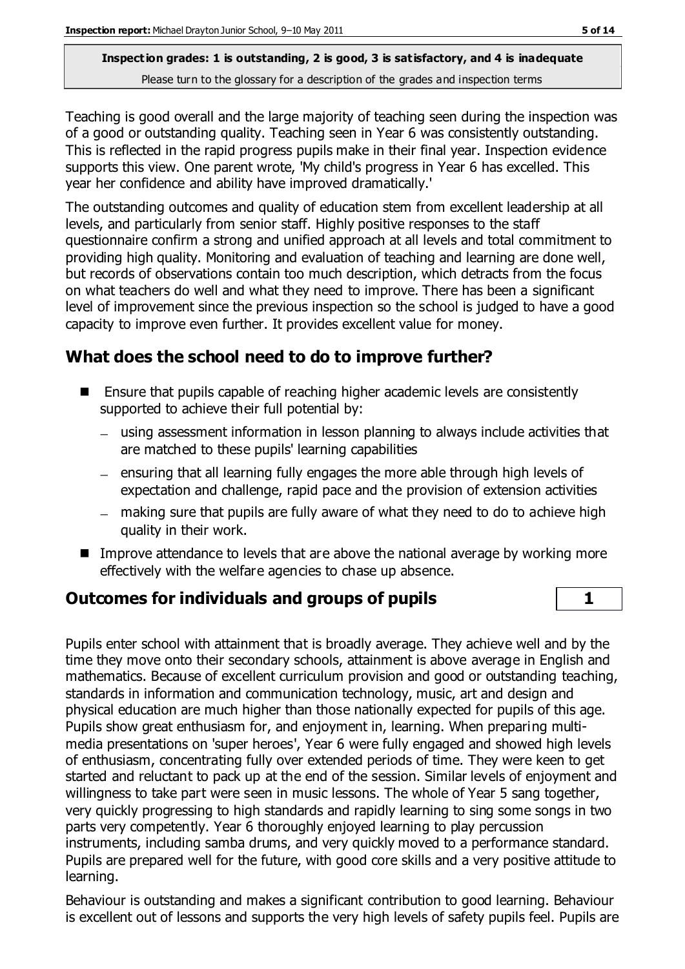Teaching is good overall and the large majority of teaching seen during the inspection was of a good or outstanding quality. Teaching seen in Year 6 was consistently outstanding. This is reflected in the rapid progress pupils make in their final year. Inspection evidence supports this view. One parent wrote, 'My child's progress in Year 6 has excelled. This year her confidence and ability have improved dramatically.'

The outstanding outcomes and quality of education stem from excellent leadership at all levels, and particularly from senior staff. Highly positive responses to the staff questionnaire confirm a strong and unified approach at all levels and total commitment to providing high quality. Monitoring and evaluation of teaching and learning are done well, but records of observations contain too much description, which detracts from the focus on what teachers do well and what they need to improve. There has been a significant level of improvement since the previous inspection so the school is judged to have a good capacity to improve even further. It provides excellent value for money.

# **What does the school need to do to improve further?**

- Ensure that pupils capable of reaching higher academic levels are consistently supported to achieve their full potential by:
	- using assessment information in lesson planning to always include activities that are matched to these pupils' learning capabilities
	- ensuring that all learning fully engages the more able through high levels of expectation and challenge, rapid pace and the provision of extension activities
	- making sure that pupils are fully aware of what they need to do to achieve high quality in their work.
- Improve attendance to levels that are above the national average by working more effectively with the welfare agencies to chase up absence.

## **Outcomes for individuals and groups of pupils 1**

Pupils enter school with attainment that is broadly average. They achieve well and by the time they move onto their secondary schools, attainment is above average in English and mathematics. Because of excellent curriculum provision and good or outstanding teaching, standards in information and communication technology, music, art and design and physical education are much higher than those nationally expected for pupils of this age. Pupils show great enthusiasm for, and enjoyment in, learning. When preparing multimedia presentations on 'super heroes', Year 6 were fully engaged and showed high levels of enthusiasm, concentrating fully over extended periods of time. They were keen to get started and reluctant to pack up at the end of the session. Similar levels of enjoyment and willingness to take part were seen in music lessons. The whole of Year 5 sang together, very quickly progressing to high standards and rapidly learning to sing some songs in two parts very competently. Year 6 thoroughly enjoyed learning to play percussion instruments, including samba drums, and very quickly moved to a performance standard. Pupils are prepared well for the future, with good core skills and a very positive attitude to learning.

Behaviour is outstanding and makes a significant contribution to good learning. Behaviour is excellent out of lessons and supports the very high levels of safety pupils feel. Pupils are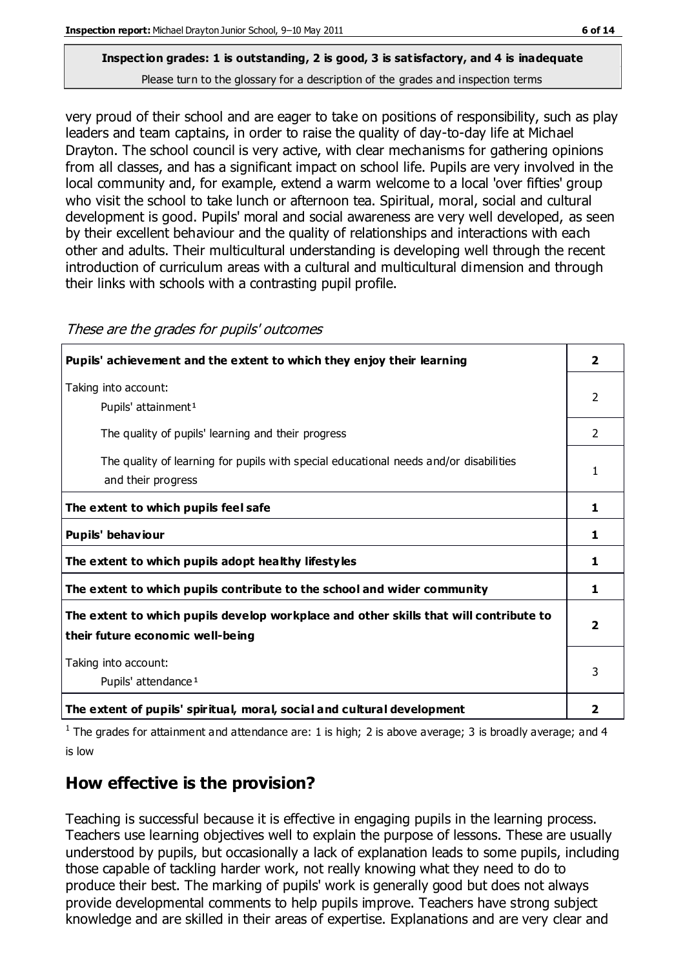very proud of their school and are eager to take on positions of responsibility, such as play leaders and team captains, in order to raise the quality of day-to-day life at Michael Drayton. The school council is very active, with clear mechanisms for gathering opinions from all classes, and has a significant impact on school life. Pupils are very involved in the local community and, for example, extend a warm welcome to a local 'over fifties' group who visit the school to take lunch or afternoon tea. Spiritual, moral, social and cultural development is good. Pupils' moral and social awareness are very well developed, as seen by their excellent behaviour and the quality of relationships and interactions with each other and adults. Their multicultural understanding is developing well through the recent introduction of curriculum areas with a cultural and multicultural dimension and through their links with schools with a contrasting pupil profile.

| These are the grades for pupils' outcomes |  |
|-------------------------------------------|--|
|                                           |  |

 $\mathcal{F}$  are grades the grades for pupils' outcomes

| Pupils' achievement and the extent to which they enjoy their learning                                                     | $\overline{\mathbf{2}}$ |
|---------------------------------------------------------------------------------------------------------------------------|-------------------------|
| Taking into account:<br>Pupils' attainment <sup>1</sup>                                                                   | $\mathcal{P}$           |
| The quality of pupils' learning and their progress                                                                        | 2                       |
| The quality of learning for pupils with special educational needs and/or disabilities<br>and their progress               |                         |
| The extent to which pupils feel safe                                                                                      | 1                       |
| Pupils' behaviour                                                                                                         | 1                       |
| The extent to which pupils adopt healthy lifestyles                                                                       | 1                       |
| The extent to which pupils contribute to the school and wider community                                                   | 1                       |
| The extent to which pupils develop workplace and other skills that will contribute to<br>their future economic well-being | 2                       |
| Taking into account:<br>Pupils' attendance <sup>1</sup>                                                                   | 3                       |
| The extent of pupils' spiritual, moral, social and cultural development                                                   | $\overline{\mathbf{2}}$ |

<sup>1</sup> The grades for attainment and attendance are: 1 is high; 2 is above average; 3 is broadly average; and 4 is low

# **How effective is the provision?**

Teaching is successful because it is effective in engaging pupils in the learning process. Teachers use learning objectives well to explain the purpose of lessons. These are usually understood by pupils, but occasionally a lack of explanation leads to some pupils, including those capable of tackling harder work, not really knowing what they need to do to produce their best. The marking of pupils' work is generally good but does not always provide developmental comments to help pupils improve. Teachers have strong subject knowledge and are skilled in their areas of expertise. Explanations and are very clear and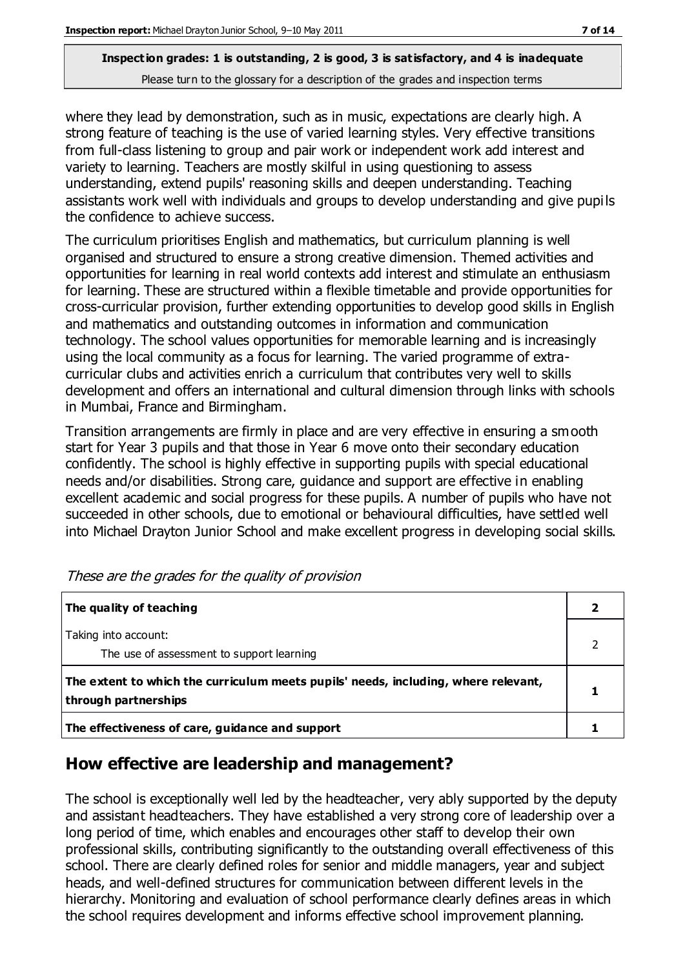where they lead by demonstration, such as in music, expectations are clearly high. A strong feature of teaching is the use of varied learning styles. Very effective transitions from full-class listening to group and pair work or independent work add interest and variety to learning. Teachers are mostly skilful in using questioning to assess understanding, extend pupils' reasoning skills and deepen understanding. Teaching assistants work well with individuals and groups to develop understanding and give pupils the confidence to achieve success.

The curriculum prioritises English and mathematics, but curriculum planning is well organised and structured to ensure a strong creative dimension. Themed activities and opportunities for learning in real world contexts add interest and stimulate an enthusiasm for learning. These are structured within a flexible timetable and provide opportunities for cross-curricular provision, further extending opportunities to develop good skills in English and mathematics and outstanding outcomes in information and communication technology. The school values opportunities for memorable learning and is increasingly using the local community as a focus for learning. The varied programme of extracurricular clubs and activities enrich a curriculum that contributes very well to skills development and offers an international and cultural dimension through links with schools in Mumbai, France and Birmingham.

Transition arrangements are firmly in place and are very effective in ensuring a smooth start for Year 3 pupils and that those in Year 6 move onto their secondary education confidently. The school is highly effective in supporting pupils with special educational needs and/or disabilities. Strong care, guidance and support are effective in enabling excellent academic and social progress for these pupils. A number of pupils who have not succeeded in other schools, due to emotional or behavioural difficulties, have settled well into Michael Drayton Junior School and make excellent progress in developing social skills.

| The quality of teaching                                                                                    |  |
|------------------------------------------------------------------------------------------------------------|--|
| Taking into account:<br>The use of assessment to support learning                                          |  |
| The extent to which the curriculum meets pupils' needs, including, where relevant,<br>through partnerships |  |
| The effectiveness of care, guidance and support                                                            |  |

These are the grades for the quality of provision

## **How effective are leadership and management?**

The school is exceptionally well led by the headteacher, very ably supported by the deputy and assistant headteachers. They have established a very strong core of leadership over a long period of time, which enables and encourages other staff to develop their own professional skills, contributing significantly to the outstanding overall effectiveness of this school. There are clearly defined roles for senior and middle managers, year and subject heads, and well-defined structures for communication between different levels in the hierarchy. Monitoring and evaluation of school performance clearly defines areas in which the school requires development and informs effective school improvement planning.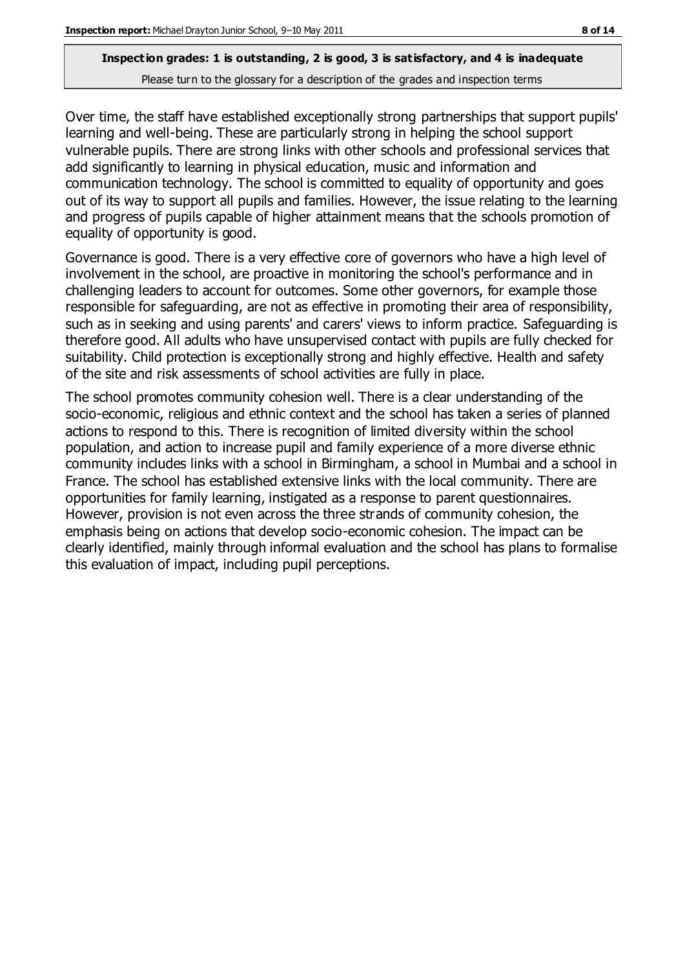Over time, the staff have established exceptionally strong partnerships that support pupils' learning and well-being. These are particularly strong in helping the school support vulnerable pupils. There are strong links with other schools and professional services that add significantly to learning in physical education, music and information and communication technology. The school is committed to equality of opportunity and goes out of its way to support all pupils and families. However, the issue relating to the learning and progress of pupils capable of higher attainment means that the schools promotion of equality of opportunity is good.

Governance is good. There is a very effective core of governors who have a high level of involvement in the school, are proactive in monitoring the school's performance and in challenging leaders to account for outcomes. Some other governors, for example those responsible for safeguarding, are not as effective in promoting their area of responsibility, such as in seeking and using parents' and carers' views to inform practice. Safeguarding is therefore good. All adults who have unsupervised contact with pupils are fully checked for suitability. Child protection is exceptionally strong and highly effective. Health and safety of the site and risk assessments of school activities are fully in place.

The school promotes community cohesion well. There is a clear understanding of the socio-economic, religious and ethnic context and the school has taken a series of planned actions to respond to this. There is recognition of limited diversity within the school population, and action to increase pupil and family experience of a more diverse ethnic community includes links with a school in Birmingham, a school in Mumbai and a school in France. The school has established extensive links with the local community. There are opportunities for family learning, instigated as a response to parent questionnaires. However, provision is not even across the three strands of community cohesion, the emphasis being on actions that develop socio-economic cohesion. The impact can be clearly identified, mainly through informal evaluation and the school has plans to formalise this evaluation of impact, including pupil perceptions.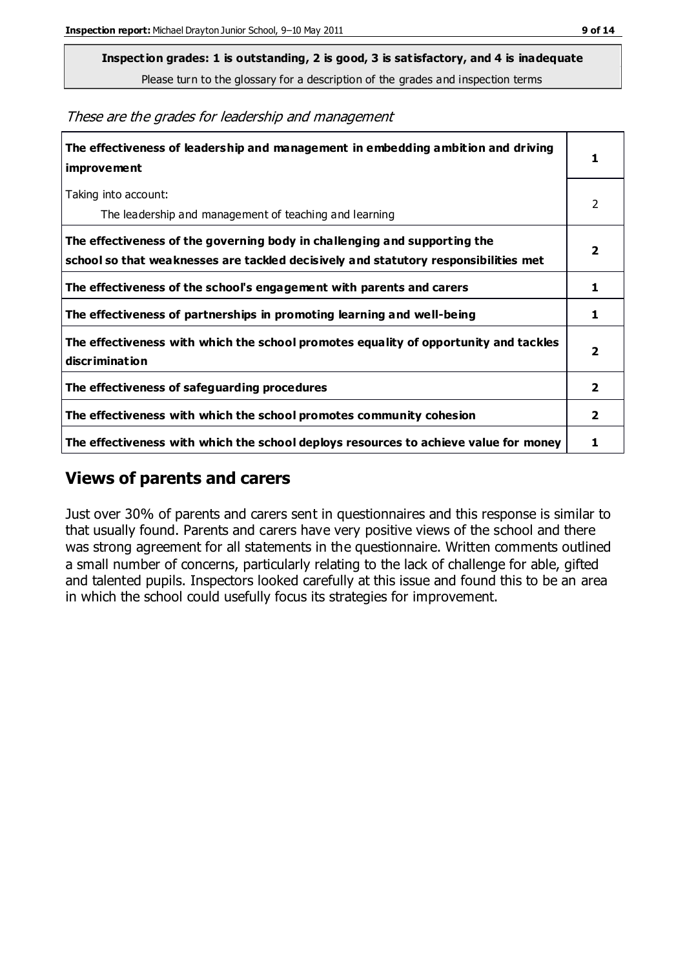**Inspection grades: 1 is outstanding, 2 is good, 3 is satisfactory, and 4 is inadequate**

Please turn to the glossary for a description of the grades and inspection terms

These are the grades for leadership and management

| The effectiveness of leadership and management in embedding ambition and driving<br>improvement                                                                  | 1                       |
|------------------------------------------------------------------------------------------------------------------------------------------------------------------|-------------------------|
| Taking into account:<br>The leadership and management of teaching and learning                                                                                   | 2                       |
| The effectiveness of the governing body in challenging and supporting the<br>school so that weaknesses are tackled decisively and statutory responsibilities met | 2                       |
| The effectiveness of the school's engagement with parents and carers                                                                                             | 1                       |
| The effectiveness of partnerships in promoting learning and well-being                                                                                           | 1                       |
| The effectiveness with which the school promotes equality of opportunity and tackles<br>discrimination                                                           | $\overline{\mathbf{2}}$ |
| The effectiveness of safeguarding procedures                                                                                                                     | 2                       |
| The effectiveness with which the school promotes community cohesion                                                                                              | $\overline{2}$          |
| The effectiveness with which the school deploys resources to achieve value for money                                                                             | 1                       |

### **Views of parents and carers**

Just over 30% of parents and carers sent in questionnaires and this response is similar to that usually found. Parents and carers have very positive views of the school and there was strong agreement for all statements in the questionnaire. Written comments outlined a small number of concerns, particularly relating to the lack of challenge for able, gifted and talented pupils. Inspectors looked carefully at this issue and found this to be an area in which the school could usefully focus its strategies for improvement.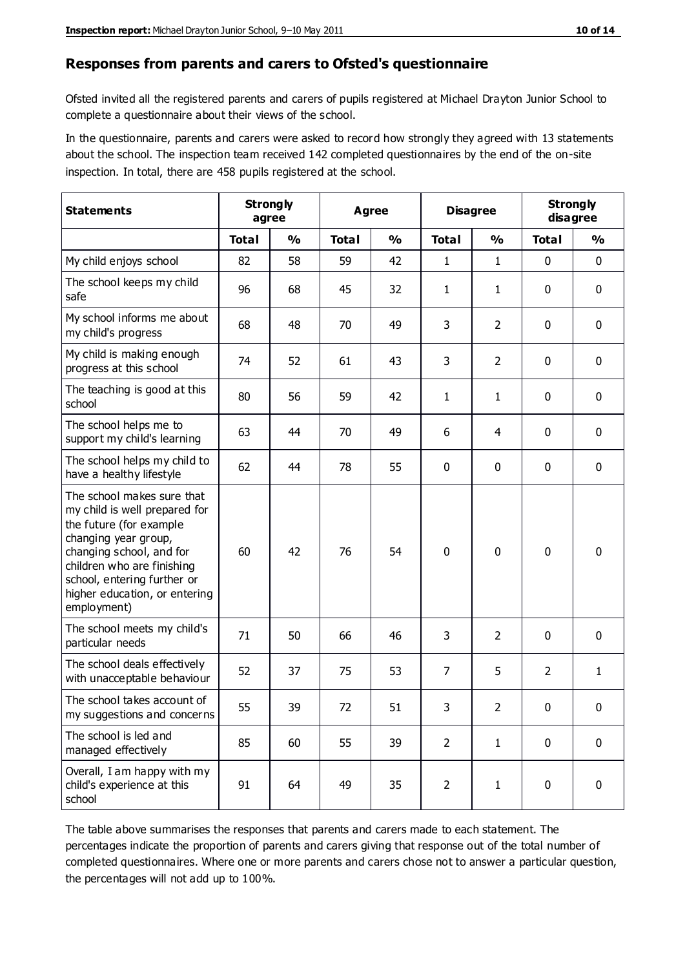#### **Responses from parents and carers to Ofsted's questionnaire**

Ofsted invited all the registered parents and carers of pupils registered at Michael Drayton Junior School to complete a questionnaire about their views of the school.

In the questionnaire, parents and carers were asked to record how strongly they agreed with 13 statements about the school. The inspection team received 142 completed questionnaires by the end of the on-site inspection. In total, there are 458 pupils registered at the school.

| <b>Statements</b>                                                                                                                                                                                                                                       | <b>Strongly</b><br>agree |               | <b>Agree</b> |               | <b>Disagree</b> |                | <b>Strongly</b><br>disagree |               |
|---------------------------------------------------------------------------------------------------------------------------------------------------------------------------------------------------------------------------------------------------------|--------------------------|---------------|--------------|---------------|-----------------|----------------|-----------------------------|---------------|
|                                                                                                                                                                                                                                                         | <b>Total</b>             | $\frac{0}{0}$ | <b>Total</b> | $\frac{0}{0}$ | <b>Total</b>    | $\frac{0}{0}$  | <b>Total</b>                | $\frac{9}{6}$ |
| My child enjoys school                                                                                                                                                                                                                                  | 82                       | 58            | 59           | 42            | 1               | $\mathbf{1}$   | $\mathbf 0$                 | $\mathbf 0$   |
| The school keeps my child<br>safe                                                                                                                                                                                                                       | 96                       | 68            | 45           | 32            | $\mathbf{1}$    | $\mathbf{1}$   | 0                           | $\mathbf 0$   |
| My school informs me about<br>my child's progress                                                                                                                                                                                                       | 68                       | 48            | 70           | 49            | 3               | $\overline{2}$ | $\mathbf{0}$                | 0             |
| My child is making enough<br>progress at this school                                                                                                                                                                                                    | 74                       | 52            | 61           | 43            | 3               | $\overline{2}$ | $\mathbf 0$                 | $\mathbf 0$   |
| The teaching is good at this<br>school                                                                                                                                                                                                                  | 80                       | 56            | 59           | 42            | $\mathbf{1}$    | $\mathbf{1}$   | $\mathbf 0$                 | $\mathbf 0$   |
| The school helps me to<br>support my child's learning                                                                                                                                                                                                   | 63                       | 44            | 70           | 49            | 6               | 4              | $\mathbf 0$                 | $\mathbf 0$   |
| The school helps my child to<br>have a healthy lifestyle                                                                                                                                                                                                | 62                       | 44            | 78           | 55            | 0               | 0              | $\mathbf 0$                 | $\mathbf 0$   |
| The school makes sure that<br>my child is well prepared for<br>the future (for example<br>changing year group,<br>changing school, and for<br>children who are finishing<br>school, entering further or<br>higher education, or entering<br>employment) | 60                       | 42            | 76           | 54            | $\mathbf 0$     | 0              | $\mathbf 0$                 | $\mathbf 0$   |
| The school meets my child's<br>particular needs                                                                                                                                                                                                         | 71                       | 50            | 66           | 46            | 3               | $\overline{2}$ | $\mathbf 0$                 | $\mathbf 0$   |
| The school deals effectively<br>with unacceptable behaviour                                                                                                                                                                                             | 52                       | 37            | 75           | 53            | 7               | 5              | 2                           | $\mathbf{1}$  |
| The school takes account of<br>my suggestions and concerns                                                                                                                                                                                              | 55                       | 39            | 72           | 51            | 3               | $\overline{2}$ | 0                           | 0             |
| The school is led and<br>managed effectively                                                                                                                                                                                                            | 85                       | 60            | 55           | 39            | $\overline{2}$  | $\mathbf{1}$   | $\mathbf 0$                 | $\mathbf 0$   |
| Overall, I am happy with my<br>child's experience at this<br>school                                                                                                                                                                                     | 91                       | 64            | 49           | 35            | $\overline{2}$  | $\mathbf{1}$   | $\mathbf 0$                 | $\mathbf 0$   |

The table above summarises the responses that parents and carers made to each statement. The percentages indicate the proportion of parents and carers giving that response out of the total number of completed questionnaires. Where one or more parents and carers chose not to answer a particular question, the percentages will not add up to 100%.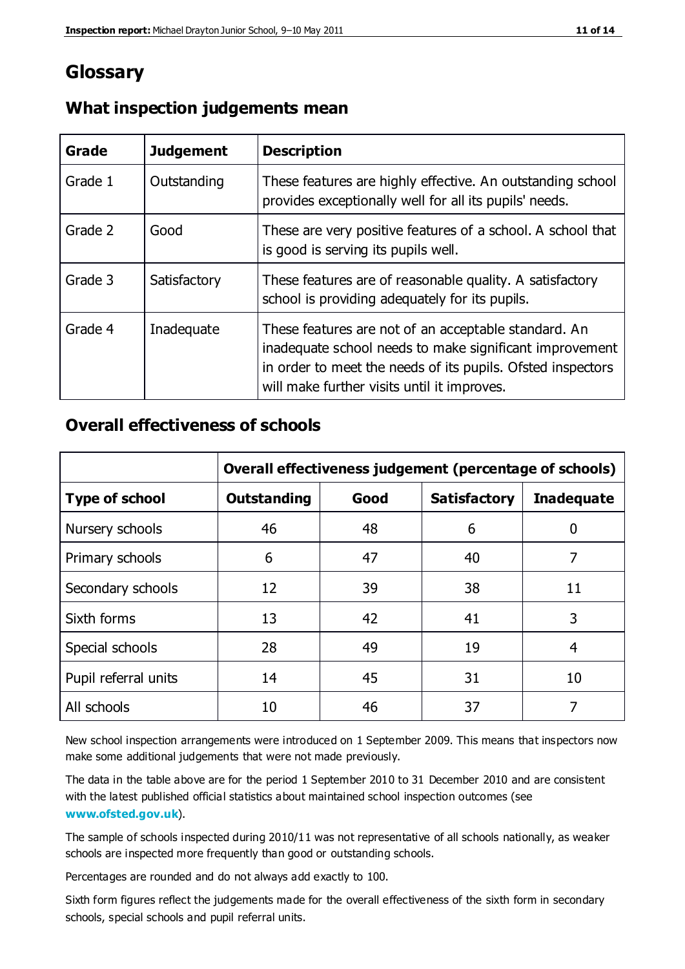# **Glossary**

| Grade   | <b>Judgement</b> | <b>Description</b>                                                                                                                                                                                                            |
|---------|------------------|-------------------------------------------------------------------------------------------------------------------------------------------------------------------------------------------------------------------------------|
| Grade 1 | Outstanding      | These features are highly effective. An outstanding school<br>provides exceptionally well for all its pupils' needs.                                                                                                          |
| Grade 2 | Good             | These are very positive features of a school. A school that<br>is good is serving its pupils well.                                                                                                                            |
| Grade 3 | Satisfactory     | These features are of reasonable quality. A satisfactory<br>school is providing adequately for its pupils.                                                                                                                    |
| Grade 4 | Inadequate       | These features are not of an acceptable standard. An<br>inadequate school needs to make significant improvement<br>in order to meet the needs of its pupils. Ofsted inspectors<br>will make further visits until it improves. |

### **What inspection judgements mean**

## **Overall effectiveness of schools**

|                       | Overall effectiveness judgement (percentage of schools) |      |                     |                   |
|-----------------------|---------------------------------------------------------|------|---------------------|-------------------|
| <b>Type of school</b> | <b>Outstanding</b>                                      | Good | <b>Satisfactory</b> | <b>Inadequate</b> |
| Nursery schools       | 46                                                      | 48   | 6                   |                   |
| Primary schools       | 6                                                       | 47   | 40                  | 7                 |
| Secondary schools     | 12                                                      | 39   | 38                  | 11                |
| Sixth forms           | 13                                                      | 42   | 41                  | 3                 |
| Special schools       | 28                                                      | 49   | 19                  | 4                 |
| Pupil referral units  | 14                                                      | 45   | 31                  | 10                |
| All schools           | 10                                                      | 46   | 37                  |                   |

New school inspection arrangements were introduced on 1 September 2009. This means that inspectors now make some additional judgements that were not made previously.

The data in the table above are for the period 1 September 2010 to 31 December 2010 and are consistent with the latest published official statistics about maintained school inspection outcomes (see **[www.ofsted.gov.uk](http://www.ofsted.gov.uk/)**).

The sample of schools inspected during 2010/11 was not representative of all schools nationally, as weaker schools are inspected more frequently than good or outstanding schools.

Percentages are rounded and do not always add exactly to 100.

Sixth form figures reflect the judgements made for the overall effectiveness of the sixth form in secondary schools, special schools and pupil referral units.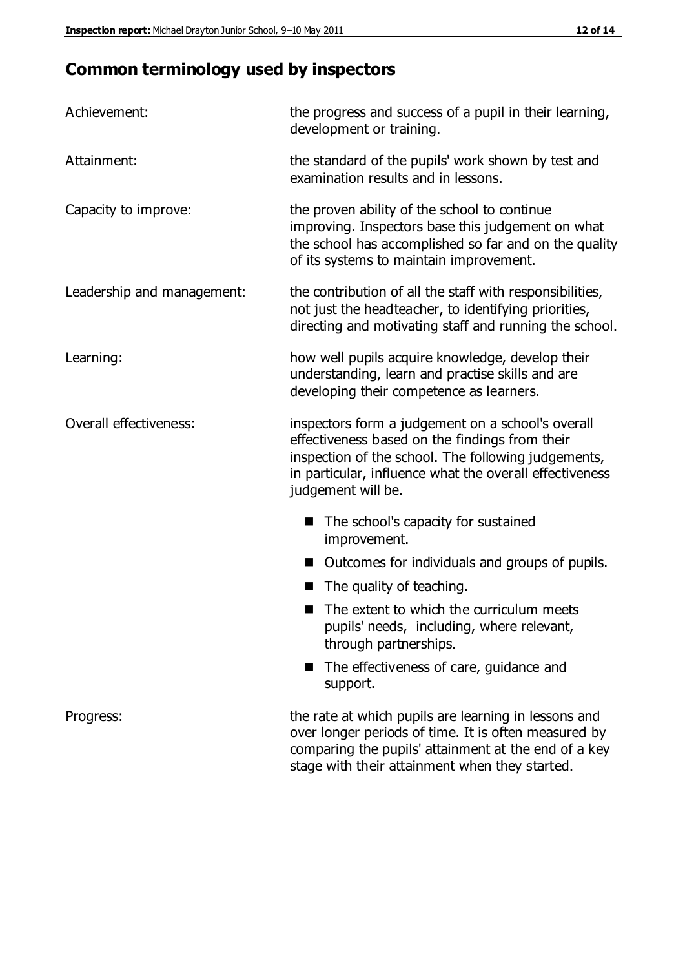# **Common terminology used by inspectors**

| Achievement:                  | the progress and success of a pupil in their learning,<br>development or training.                                                                                                                                                          |  |  |
|-------------------------------|---------------------------------------------------------------------------------------------------------------------------------------------------------------------------------------------------------------------------------------------|--|--|
| Attainment:                   | the standard of the pupils' work shown by test and<br>examination results and in lessons.                                                                                                                                                   |  |  |
| Capacity to improve:          | the proven ability of the school to continue<br>improving. Inspectors base this judgement on what<br>the school has accomplished so far and on the quality<br>of its systems to maintain improvement.                                       |  |  |
| Leadership and management:    | the contribution of all the staff with responsibilities,<br>not just the headteacher, to identifying priorities,<br>directing and motivating staff and running the school.                                                                  |  |  |
| Learning:                     | how well pupils acquire knowledge, develop their<br>understanding, learn and practise skills and are<br>developing their competence as learners.                                                                                            |  |  |
| <b>Overall effectiveness:</b> | inspectors form a judgement on a school's overall<br>effectiveness based on the findings from their<br>inspection of the school. The following judgements,<br>in particular, influence what the overall effectiveness<br>judgement will be. |  |  |
|                               | The school's capacity for sustained<br>improvement.                                                                                                                                                                                         |  |  |
|                               | Outcomes for individuals and groups of pupils.                                                                                                                                                                                              |  |  |
|                               | The quality of teaching.                                                                                                                                                                                                                    |  |  |
|                               | The extent to which the curriculum meets<br>pupils' needs, including, where relevant,<br>through partnerships.                                                                                                                              |  |  |
|                               | The effectiveness of care, guidance and<br>support.                                                                                                                                                                                         |  |  |
| Progress:                     | the rate at which pupils are learning in lessons and<br>over longer periods of time. It is often measured by<br>comparing the pupils' attainment at the end of a key                                                                        |  |  |

stage with their attainment when they started.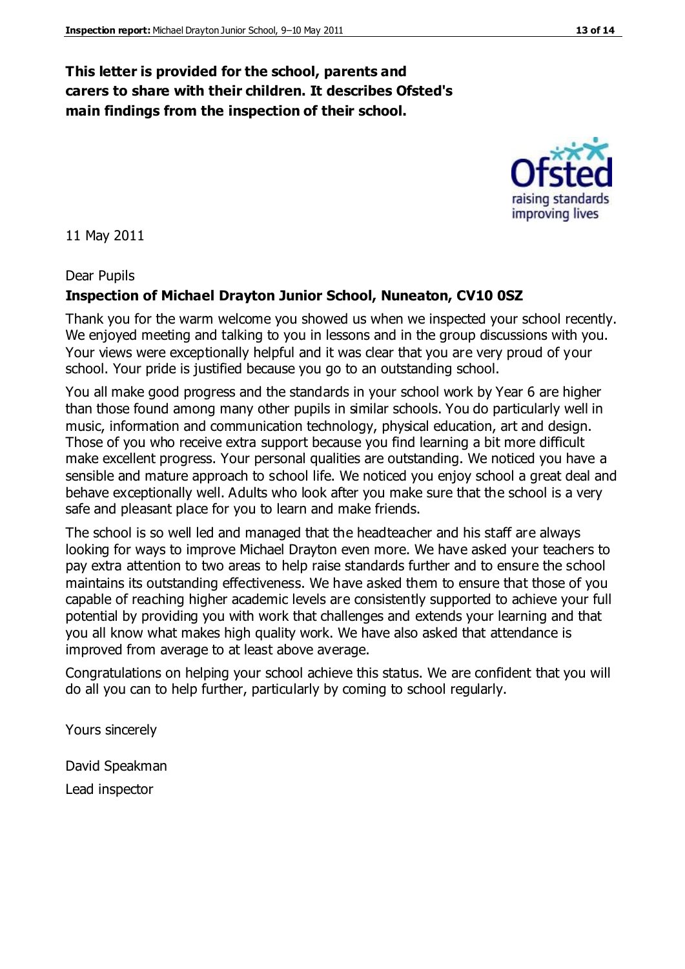## **This letter is provided for the school, parents and carers to share with their children. It describes Ofsted's main findings from the inspection of their school.**

11 May 2011

Dear Pupils

#### **Inspection of Michael Drayton Junior School, Nuneaton, CV10 0SZ**

Thank you for the warm welcome you showed us when we inspected your school recently. We enjoyed meeting and talking to you in lessons and in the group discussions with you. Your views were exceptionally helpful and it was clear that you are very proud of your school. Your pride is justified because you go to an outstanding school.

You all make good progress and the standards in your school work by Year 6 are higher than those found among many other pupils in similar schools. You do particularly well in music, information and communication technology, physical education, art and design. Those of you who receive extra support because you find learning a bit more difficult make excellent progress. Your personal qualities are outstanding. We noticed you have a sensible and mature approach to school life. We noticed you enjoy school a great deal and behave exceptionally well. Adults who look after you make sure that the school is a very safe and pleasant place for you to learn and make friends.

The school is so well led and managed that the headteacher and his staff are always looking for ways to improve Michael Drayton even more. We have asked your teachers to pay extra attention to two areas to help raise standards further and to ensure the school maintains its outstanding effectiveness. We have asked them to ensure that those of you capable of reaching higher academic levels are consistently supported to achieve your full potential by providing you with work that challenges and extends your learning and that you all know what makes high quality work. We have also asked that attendance is improved from average to at least above average.

Congratulations on helping your school achieve this status. We are confident that you will do all you can to help further, particularly by coming to school regularly.

Yours sincerely

David Speakman Lead inspector